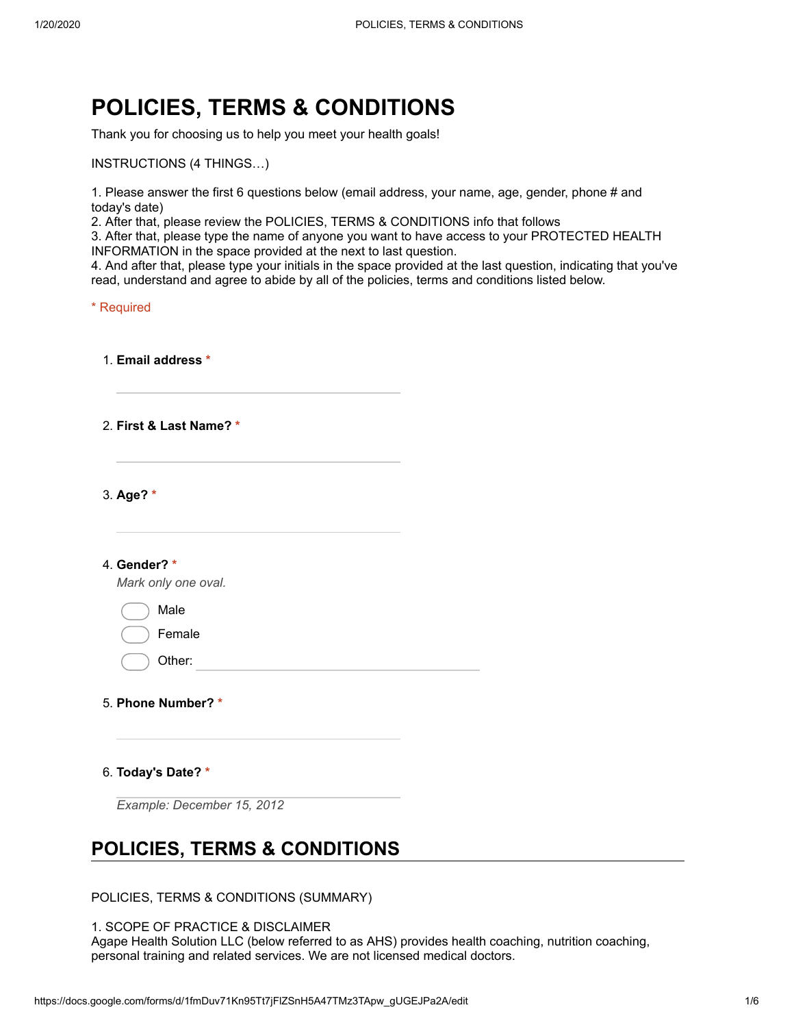# **POLICIES, TERMS & CONDITIONS**

Thank you for choosing us to help you meet your health goals!

INSTRUCTIONS (4 THINGS…)

1. Please answer the first 6 questions below (email address, your name, age, gender, phone # and today's date)

2. After that, please review the POLICIES, TERMS & CONDITIONS info that follows

3. After that, please type the name of anyone you want to have access to your PROTECTED HEALTH INFORMATION in the space provided at the next to last question.

4. And after that, please type your initials in the space provided at the last question, indicating that you've read, understand and agree to abide by all of the policies, terms and conditions listed below.

\* Required

1. **Email address \***

2. **First & Last Name? \***

3. **Age? \***

4. **Gender? \***

*Mark only one oval.*

Male

Female

Other:

- 5. **Phone Number? \***
- 6. **Today's Date? \***

*Example: December 15, 2012*

## **POLICIES, TERMS & CONDITIONS**

POLICIES, TERMS & CONDITIONS (SUMMARY)

1. SCOPE OF PRACTICE & DISCLAIMER Agape Health Solution LLC (below referred to as AHS) provides health coaching, nutrition coaching, personal training and related services. We are not licensed medical doctors.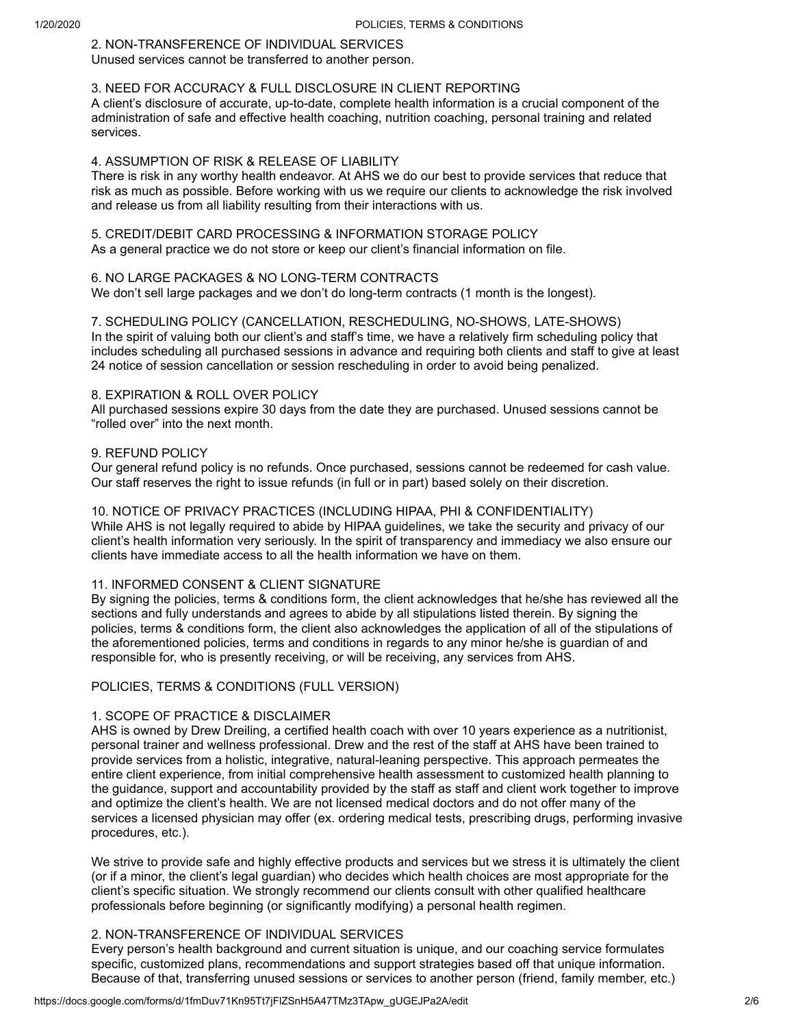### 2. NON-TRANSFERENCE OF INDIVIDUAL SERVICES

Unused services cannot be transferred to another person.

#### 3. NEED FOR ACCURACY & FULL DISCLOSURE IN CLIENT REPORTING

A client's disclosure of accurate, up-to-date, complete health information is a crucial component of the administration of safe and effective health coaching, nutrition coaching, personal training and related services.

#### 4. ASSUMPTION OF RISK & RELEASE OF LIABILITY

There is risk in any worthy health endeavor. At AHS we do our best to provide services that reduce that risk as much as possible. Before working with us we require our clients to acknowledge the risk involved and release us from all liability resulting from their interactions with us.

## 5. CREDIT/DEBIT CARD PROCESSING & INFORMATION STORAGE POLICY

As a general practice we do not store or keep our client's financial information on file.

#### 6. NO LARGE PACKAGES & NO LONG-TERM CONTRACTS

We don't sell large packages and we don't do long-term contracts (1 month is the longest).

7. SCHEDULING POLICY (CANCELLATION, RESCHEDULING, NO-SHOWS, LATE-SHOWS) In the spirit of valuing both our client's and staff's time, we have a relatively firm scheduling policy that includes scheduling all purchased sessions in advance and requiring both clients and staff to give at least 24 notice of session cancellation or session rescheduling in order to avoid being penalized.

#### 8. EXPIRATION & ROLL OVER POLICY

All purchased sessions expire 30 days from the date they are purchased. Unused sessions cannot be "rolled over" into the next month.

#### 9. REFUND POLICY

Our general refund policy is no refunds. Once purchased, sessions cannot be redeemed for cash value. Our staff reserves the right to issue refunds (in full or in part) based solely on their discretion.

#### 10. NOTICE OF PRIVACY PRACTICES (INCLUDING HIPAA, PHI & CONFIDENTIALITY)

While AHS is not legally required to abide by HIPAA guidelines, we take the security and privacy of our client's health information very seriously. In the spirit of transparency and immediacy we also ensure our clients have immediate access to all the health information we have on them.

#### 11. INFORMED CONSENT & CLIENT SIGNATURE

By signing the policies, terms & conditions form, the client acknowledges that he/she has reviewed all the sections and fully understands and agrees to abide by all stipulations listed therein. By signing the policies, terms & conditions form, the client also acknowledges the application of all of the stipulations of the aforementioned policies, terms and conditions in regards to any minor he/she is guardian of and responsible for, who is presently receiving, or will be receiving, any services from AHS.

#### POLICIES, TERMS & CONDITIONS (FULL VERSION)

#### 1. SCOPE OF PRACTICE & DISCLAIMER

AHS is owned by Drew Dreiling, a certified health coach with over 10 years experience as a nutritionist, personal trainer and wellness professional. Drew and the rest of the staff at AHS have been trained to provide services from a holistic, integrative, natural-leaning perspective. This approach permeates the entire client experience, from initial comprehensive health assessment to customized health planning to the guidance, support and accountability provided by the staff as staff and client work together to improve and optimize the client's health. We are not licensed medical doctors and do not offer many of the services a licensed physician may offer (ex. ordering medical tests, prescribing drugs, performing invasive procedures, etc.).

We strive to provide safe and highly effective products and services but we stress it is ultimately the client (or if a minor, the client's legal guardian) who decides which health choices are most appropriate for the client's specific situation. We strongly recommend our clients consult with other qualified healthcare professionals before beginning (or significantly modifying) a personal health regimen.

#### 2. NON-TRANSFERENCE OF INDIVIDUAL SERVICES

Every person's health background and current situation is unique, and our coaching service formulates specific, customized plans, recommendations and support strategies based off that unique information. Because of that, transferring unused sessions or services to another person (friend, family member, etc.)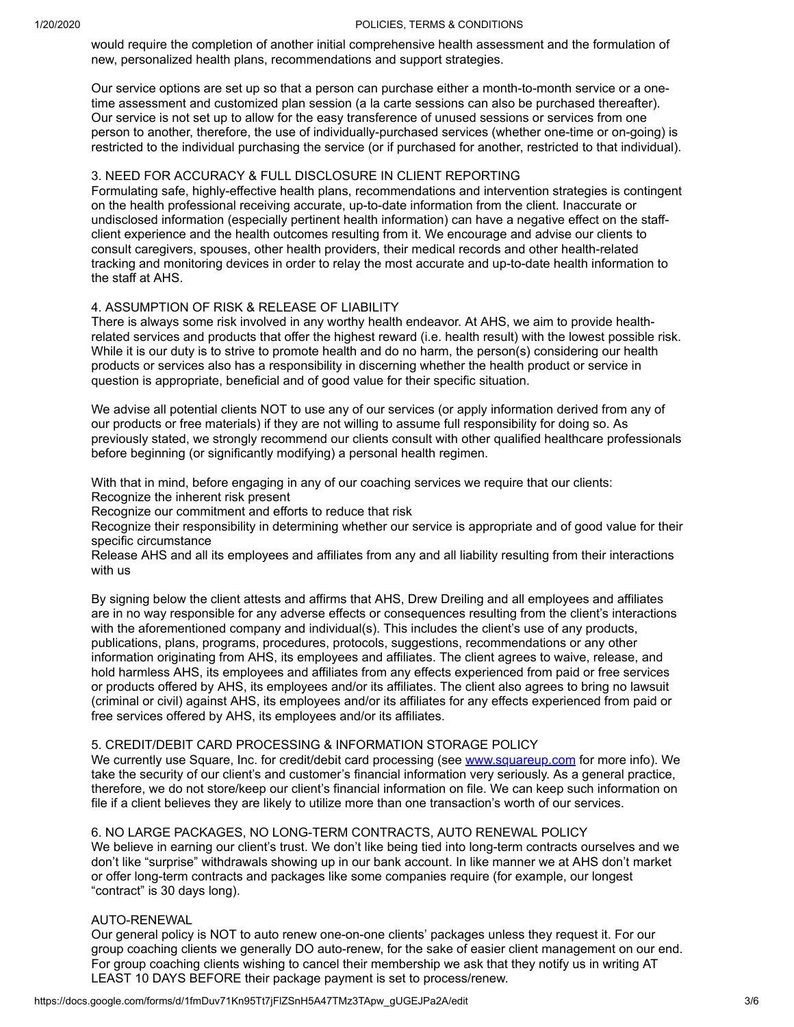#### 1/20/2020 POLICIES, TERMS & CONDITIONS

would require the completion of another initial comprehensive health assessment and the formulation of new, personalized health plans, recommendations and support strategies.

Our service options are set up so that a person can purchase either a month-to-month service or a onetime assessment and customized plan session (a la carte sessions can also be purchased thereafter). Our service is not set up to allow for the easy transference of unused sessions or services from one person to another, therefore, the use of individually-purchased services (whether one-time or on-going) is restricted to the individual purchasing the service (or if purchased for another, restricted to that individual).

#### 3. NEED FOR ACCURACY & FULL DISCLOSURE IN CLIENT REPORTING

Formulating safe, highly-effective health plans, recommendations and intervention strategies is contingent on the health professional receiving accurate, up-to-date information from the client. Inaccurate or undisclosed information (especially pertinent health information) can have a negative effect on the staffclient experience and the health outcomes resulting from it. We encourage and advise our clients to consult caregivers, spouses, other health providers, their medical records and other health-related tracking and monitoring devices in order to relay the most accurate and up-to-date health information to the staff at AHS.

#### 4. ASSUMPTION OF RISK & RELEASE OF LIABILITY

There is always some risk involved in any worthy health endeavor. At AHS, we aim to provide healthrelated services and products that offer the highest reward (i.e. health result) with the lowest possible risk. While it is our duty is to strive to promote health and do no harm, the person(s) considering our health products or services also has a responsibility in discerning whether the health product or service in question is appropriate, beneficial and of good value for their specific situation.

We advise all potential clients NOT to use any of our services (or apply information derived from any of our products or free materials) if they are not willing to assume full responsibility for doing so. As previously stated, we strongly recommend our clients consult with other qualified healthcare professionals before beginning (or significantly modifying) a personal health regimen.

With that in mind, before engaging in any of our coaching services we require that our clients:

Recognize the inherent risk present

Recognize our commitment and efforts to reduce that risk

Recognize their responsibility in determining whether our service is appropriate and of good value for their specific circumstance

Release AHS and all its employees and affiliates from any and all liability resulting from their interactions with us

By signing below the client attests and affirms that AHS, Drew Dreiling and all employees and affiliates are in no way responsible for any adverse effects or consequences resulting from the client's interactions with the aforementioned company and individual(s). This includes the client's use of any products, publications, plans, programs, procedures, protocols, suggestions, recommendations or any other information originating from AHS, its employees and affiliates. The client agrees to waive, release, and hold harmless AHS, its employees and affiliates from any effects experienced from paid or free services or products offered by AHS, its employees and/or its affiliates. The client also agrees to bring no lawsuit (criminal or civil) against AHS, its employees and/or its affiliates for any effects experienced from paid or free services offered by AHS, its employees and/or its affiliates.

#### 5. CREDIT/DEBIT CARD PROCESSING & INFORMATION STORAGE POLICY

We currently use Square, Inc. for credit/debit card processing (see [www.squareup.com](https://www.google.com/url?q=http://www.squareup.com&sa=D&ust=1579541190239000&usg=AFQjCNFfziNEoB-VEKEvYpEp_yR7kM3BZQ) for more info). We take the security of our client's and customer's financial information very seriously. As a general practice, therefore, we do not store/keep our client's financial information on file. We can keep such information on file if a client believes they are likely to utilize more than one transaction's worth of our services.

#### 6. NO LARGE PACKAGES, NO LONG-TERM CONTRACTS, AUTO RENEWAL POLICY

We believe in earning our client's trust. We don't like being tied into long-term contracts ourselves and we don't like "surprise" withdrawals showing up in our bank account. In like manner we at AHS don't market or offer long-term contracts and packages like some companies require (for example, our longest "contract" is 30 days long).

#### AUTO-RENEWAL

Our general policy is NOT to auto renew one-on-one clients' packages unless they request it. For our group coaching clients we generally DO auto-renew, for the sake of easier client management on our end. For group coaching clients wishing to cancel their membership we ask that they notify us in writing AT LEAST 10 DAYS BEFORE their package payment is set to process/renew.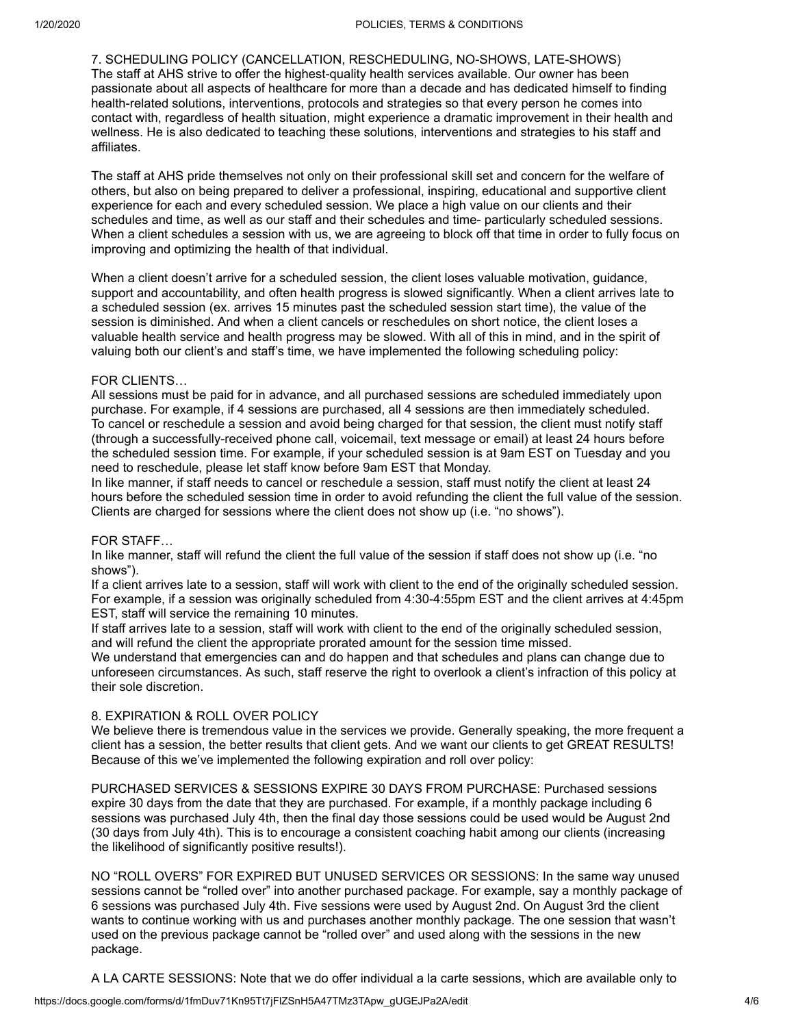7. SCHEDULING POLICY (CANCELLATION, RESCHEDULING, NO-SHOWS, LATE-SHOWS) The staff at AHS strive to offer the highest-quality health services available. Our owner has been passionate about all aspects of healthcare for more than a decade and has dedicated himself to finding health-related solutions, interventions, protocols and strategies so that every person he comes into contact with, regardless of health situation, might experience a dramatic improvement in their health and wellness. He is also dedicated to teaching these solutions, interventions and strategies to his staff and affiliates.

The staff at AHS pride themselves not only on their professional skill set and concern for the welfare of others, but also on being prepared to deliver a professional, inspiring, educational and supportive client experience for each and every scheduled session. We place a high value on our clients and their schedules and time, as well as our staff and their schedules and time- particularly scheduled sessions. When a client schedules a session with us, we are agreeing to block off that time in order to fully focus on improving and optimizing the health of that individual.

When a client doesn't arrive for a scheduled session, the client loses valuable motivation, guidance, support and accountability, and often health progress is slowed significantly. When a client arrives late to a scheduled session (ex. arrives 15 minutes past the scheduled session start time), the value of the session is diminished. And when a client cancels or reschedules on short notice, the client loses a valuable health service and health progress may be slowed. With all of this in mind, and in the spirit of valuing both our client's and staff's time, we have implemented the following scheduling policy:

#### FOR CLIENTS…

All sessions must be paid for in advance, and all purchased sessions are scheduled immediately upon purchase. For example, if 4 sessions are purchased, all 4 sessions are then immediately scheduled. To cancel or reschedule a session and avoid being charged for that session, the client must notify staff (through a successfully-received phone call, voicemail, text message or email) at least 24 hours before the scheduled session time. For example, if your scheduled session is at 9am EST on Tuesday and you need to reschedule, please let staff know before 9am EST that Monday.

In like manner, if staff needs to cancel or reschedule a session, staff must notify the client at least 24 hours before the scheduled session time in order to avoid refunding the client the full value of the session. Clients are charged for sessions where the client does not show up (i.e. "no shows").

#### FOR STAFF…

In like manner, staff will refund the client the full value of the session if staff does not show up (i.e. "no shows").

If a client arrives late to a session, staff will work with client to the end of the originally scheduled session. For example, if a session was originally scheduled from 4:30-4:55pm EST and the client arrives at 4:45pm EST, staff will service the remaining 10 minutes.

If staff arrives late to a session, staff will work with client to the end of the originally scheduled session, and will refund the client the appropriate prorated amount for the session time missed.

We understand that emergencies can and do happen and that schedules and plans can change due to unforeseen circumstances. As such, staff reserve the right to overlook a client's infraction of this policy at their sole discretion.

#### 8. EXPIRATION & ROLL OVER POLICY

We believe there is tremendous value in the services we provide. Generally speaking, the more frequent a client has a session, the better results that client gets. And we want our clients to get GREAT RESULTS! Because of this we've implemented the following expiration and roll over policy:

PURCHASED SERVICES & SESSIONS EXPIRE 30 DAYS FROM PURCHASE: Purchased sessions expire 30 days from the date that they are purchased. For example, if a monthly package including 6 sessions was purchased July 4th, then the final day those sessions could be used would be August 2nd (30 days from July 4th). This is to encourage a consistent coaching habit among our clients (increasing the likelihood of significantly positive results!).

NO "ROLL OVERS" FOR EXPIRED BUT UNUSED SERVICES OR SESSIONS: In the same way unused sessions cannot be "rolled over" into another purchased package. For example, say a monthly package of 6 sessions was purchased July 4th. Five sessions were used by August 2nd. On August 3rd the client wants to continue working with us and purchases another monthly package. The one session that wasn't used on the previous package cannot be "rolled over" and used along with the sessions in the new package.

A LA CARTE SESSIONS: Note that we do offer individual a la carte sessions, which are available only to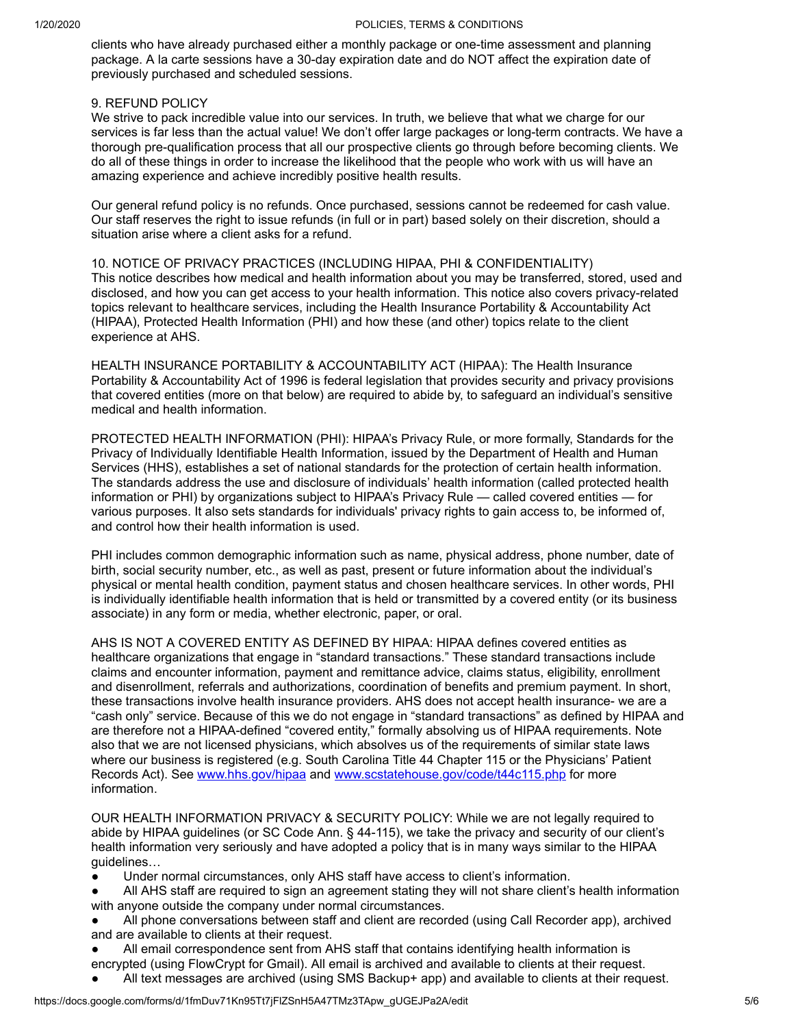clients who have already purchased either a monthly package or one-time assessment and planning package. A la carte sessions have a 30-day expiration date and do NOT affect the expiration date of previously purchased and scheduled sessions.

#### 9. REFUND POLICY

We strive to pack incredible value into our services. In truth, we believe that what we charge for our services is far less than the actual value! We don't offer large packages or long-term contracts. We have a thorough pre-qualification process that all our prospective clients go through before becoming clients. We do all of these things in order to increase the likelihood that the people who work with us will have an amazing experience and achieve incredibly positive health results.

Our general refund policy is no refunds. Once purchased, sessions cannot be redeemed for cash value. Our staff reserves the right to issue refunds (in full or in part) based solely on their discretion, should a situation arise where a client asks for a refund.

10. NOTICE OF PRIVACY PRACTICES (INCLUDING HIPAA, PHI & CONFIDENTIALITY) This notice describes how medical and health information about you may be transferred, stored, used and disclosed, and how you can get access to your health information. This notice also covers privacy-related topics relevant to healthcare services, including the Health Insurance Portability & Accountability Act (HIPAA), Protected Health Information (PHI) and how these (and other) topics relate to the client experience at AHS.

HEALTH INSURANCE PORTABILITY & ACCOUNTABILITY ACT (HIPAA): The Health Insurance Portability & Accountability Act of 1996 is federal legislation that provides security and privacy provisions that covered entities (more on that below) are required to abide by, to safeguard an individual's sensitive medical and health information.

PROTECTED HEALTH INFORMATION (PHI): HIPAA's Privacy Rule, or more formally, Standards for the Privacy of Individually Identifiable Health Information, issued by the Department of Health and Human Services (HHS), establishes a set of national standards for the protection of certain health information. The standards address the use and disclosure of individuals' health information (called protected health information or PHI) by organizations subject to HIPAA's Privacy Rule — called covered entities — for various purposes. It also sets standards for individuals' privacy rights to gain access to, be informed of, and control how their health information is used.

PHI includes common demographic information such as name, physical address, phone number, date of birth, social security number, etc., as well as past, present or future information about the individual's physical or mental health condition, payment status and chosen healthcare services. In other words, PHI is individually identifiable health information that is held or transmitted by a covered entity (or its business associate) in any form or media, whether electronic, paper, or oral.

AHS IS NOT A COVERED ENTITY AS DEFINED BY HIPAA: HIPAA defines covered entities as healthcare organizations that engage in "standard transactions." These standard transactions include claims and encounter information, payment and remittance advice, claims status, eligibility, enrollment and disenrollment, referrals and authorizations, coordination of benefits and premium payment. In short, these transactions involve health insurance providers. AHS does not accept health insurance- we are a "cash only" service. Because of this we do not engage in "standard transactions" as defined by HIPAA and are therefore not a HIPAA-defined "covered entity," formally absolving us of HIPAA requirements. Note also that we are not licensed physicians, which absolves us of the requirements of similar state laws where our business is registered (e.g. South Carolina Title 44 Chapter 115 or the Physicians' Patient Records Act). See [www.hhs.gov/hipaa](https://www.google.com/url?q=http://www.hhs.gov/hipaa&sa=D&ust=1579541190239000&usg=AFQjCNG8iAXGAU46FNtuvBkBVxUsNpVAqA) and [www.scstatehouse.gov/code/t44c115.php](https://www.google.com/url?q=http://www.scstatehouse.gov/code/t44c115.php&sa=D&ust=1579541190239000&usg=AFQjCNESeJrS_l-kn6cfWRRfWB6h_oMkNg) for more information.

OUR HEALTH INFORMATION PRIVACY & SECURITY POLICY: While we are not legally required to abide by HIPAA guidelines (or SC Code Ann. § 44-115), we take the privacy and security of our client's health information very seriously and have adopted a policy that is in many ways similar to the HIPAA guidelines…

- Under normal circumstances, only AHS staff have access to client's information.
- All AHS staff are required to sign an agreement stating they will not share client's health information with anyone outside the company under normal circumstances.
- All phone conversations between staff and client are recorded (using Call Recorder app), archived and are available to clients at their request.
- All email correspondence sent from AHS staff that contains identifying health information is
- encrypted (using FlowCrypt for Gmail). All email is archived and available to clients at their request.
- All text messages are archived (using SMS Backup+ app) and available to clients at their request.